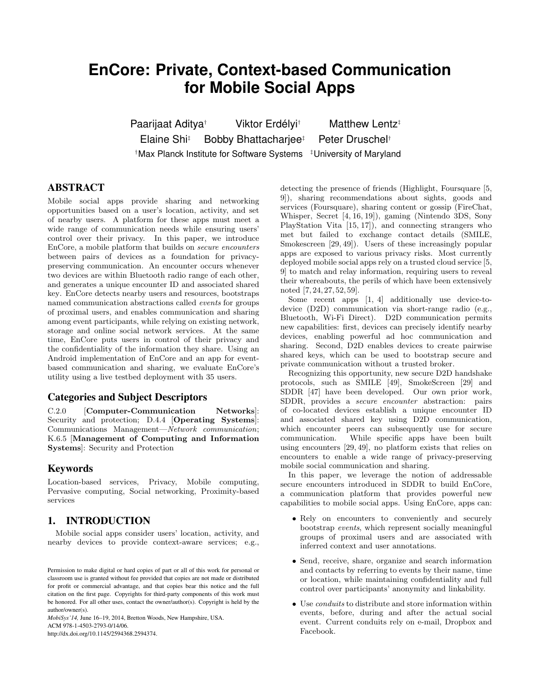# **EnCore: Private, Context-based Communication for Mobile Social Apps**

Paarijaat Aditya<sup>†</sup> Viktor Erdélyi<sup>†</sup> Matthew Lentz<sup>‡</sup> Elaine Shi‡ Bobby Bhattacharjee‡ Peter Druschel† †Max Planck Institute for Software Systems ‡University of Maryland

# ABSTRACT

Mobile social apps provide sharing and networking opportunities based on a user's location, activity, and set of nearby users. A platform for these apps must meet a wide range of communication needs while ensuring users' control over their privacy. In this paper, we introduce EnCore, a mobile platform that builds on secure encounters between pairs of devices as a foundation for privacypreserving communication. An encounter occurs whenever two devices are within Bluetooth radio range of each other, and generates a unique encounter ID and associated shared key. EnCore detects nearby users and resources, bootstraps named communication abstractions called events for groups of proximal users, and enables communication and sharing among event participants, while relying on existing network, storage and online social network services. At the same time, EnCore puts users in control of their privacy and the confidentiality of the information they share. Using an Android implementation of EnCore and an app for eventbased communication and sharing, we evaluate EnCore's utility using a live testbed deployment with 35 users.

## Categories and Subject Descriptors

C.2.0 [Computer-Communication Networks]: Security and protection; D.4.4 [Operating Systems]: Communications Management—Network communication; K.6.5 [Management of Computing and Information Systems]: Security and Protection

## Keywords

Location-based services, Privacy, Mobile computing, Pervasive computing, Social networking, Proximity-based services

# 1. INTRODUCTION

Mobile social apps consider users' location, activity, and nearby devices to provide context-aware services; e.g.,

*MobiSys'14,* June 16–19, 2014, Bretton Woods, New Hampshire, USA. ACM 978-1-4503-2793-0/14/06. http://dx.doi.org/10.1145/2594368.2594374.

detecting the presence of friends (Highlight, Foursquare [\[5,](#page-11-0) [9\]](#page-11-1)), sharing recommendations about sights, goods and services (Foursquare), sharing content or gossip (FireChat, Whisper, Secret [\[4,](#page-11-2) [16,](#page-11-3) [19\]](#page-11-4)), gaming (Nintendo 3DS, Sony PlayStation Vita [\[15,](#page-11-5) [17\]](#page-11-6)), and connecting strangers who met but failed to exchange contact details (SMILE, Smokescreen  $[29, 49]$  $[29, 49]$  $[29, 49]$ . Users of these increasingly popular apps are exposed to various privacy risks. Most currently deployed mobile social apps rely on a trusted cloud service [\[5,](#page-11-0) [9\]](#page-11-1) to match and relay information, requiring users to reveal their whereabouts, the perils of which have been extensively noted [\[7,](#page-11-7) [24,](#page-12-2) [27,](#page-12-3) [52,](#page-13-0) [59\]](#page-13-1).

Some recent apps [\[1,](#page-11-8) [4\]](#page-11-2) additionally use device-todevice (D2D) communication via short-range radio (e.g., Bluetooth, Wi-Fi Direct). D2D communication permits new capabilities: first, devices can precisely identify nearby devices, enabling powerful ad hoc communication and sharing. Second, D2D enables devices to create pairwise shared keys, which can be used to bootstrap secure and private communication without a trusted broker.

Recognizing this opportunity, new secure D2D handshake protocols, such as SMILE [\[49\]](#page-12-1), SmokeScreen [\[29\]](#page-12-0) and SDDR [\[47\]](#page-12-4) have been developed. Our own prior work, SDDR, provides a secure encounter abstraction: pairs of co-located devices establish a unique encounter ID and associated shared key using D2D communication, which encounter peers can subsequently use for secure communication. While specific apps have been built using encounters [\[29,](#page-12-0) [49\]](#page-12-1), no platform exists that relies on encounters to enable a wide range of privacy-preserving mobile social communication and sharing.

In this paper, we leverage the notion of addressable secure encounters introduced in SDDR to build EnCore, a communication platform that provides powerful new capabilities to mobile social apps. Using EnCore, apps can:

- Rely on encounters to conveniently and securely bootstrap events, which represent socially meaningful groups of proximal users and are associated with inferred context and user annotations.
- Send, receive, share, organize and search information and contacts by referring to events by their name, time or location, while maintaining confidentiality and full control over participants' anonymity and linkability.
- Use conduits to distribute and store information within events, before, during and after the actual social event. Current conduits rely on e-mail, Dropbox and Facebook.

Permission to make digital or hard copies of part or all of this work for personal or classroom use is granted without fee provided that copies are not made or distributed for profit or commercial advantage, and that copies bear this notice and the full citation on the first page. Copyrights for third-party components of this work must be honored. For all other uses, contact the owner/author(s). Copyright is held by the author/owner(s).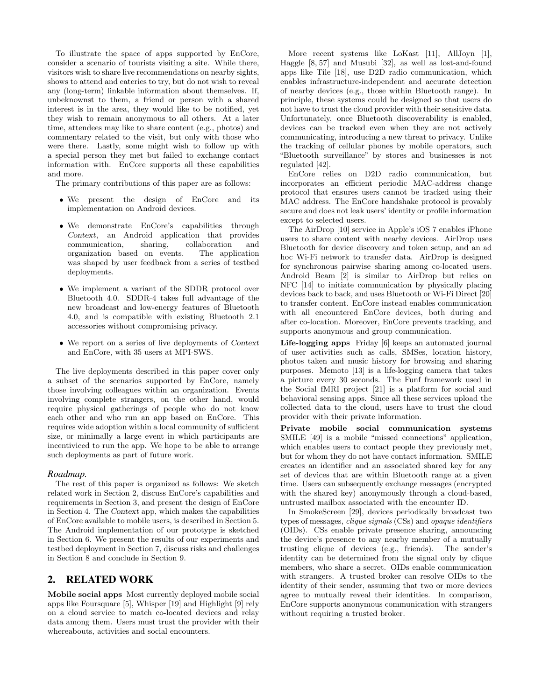To illustrate the space of apps supported by EnCore, consider a scenario of tourists visiting a site. While there, visitors wish to share live recommendations on nearby sights, shows to attend and eateries to try, but do not wish to reveal any (long-term) linkable information about themselves. If, unbeknownst to them, a friend or person with a shared interest is in the area, they would like to be notified, yet they wish to remain anonymous to all others. At a later time, attendees may like to share content (e.g., photos) and commentary related to the visit, but only with those who were there. Lastly, some might wish to follow up with a special person they met but failed to exchange contact information with. EnCore supports all these capabilities and more.

The primary contributions of this paper are as follows:

- We present the design of EnCore and its implementation on Android devices.
- We demonstrate EnCore's capabilities through Context, an Android application that provides communication, sharing, collaboration and organization based on events. The application was shaped by user feedback from a series of testbed deployments.
- We implement a variant of the SDDR protocol over Bluetooth 4.0. SDDR-4 takes full advantage of the new broadcast and low-energy features of Bluetooth 4.0, and is compatible with existing Bluetooth 2.1 accessories without compromising privacy.
- We report on a series of live deployments of Context and EnCore, with 35 users at MPI-SWS.

The live deployments described in this paper cover only a subset of the scenarios supported by EnCore, namely those involving colleagues within an organization. Events involving complete strangers, on the other hand, would require physical gatherings of people who do not know each other and who run an app based on EnCore. This requires wide adoption within a local community of sufficient size, or minimally a large event in which participants are incentiviced to run the app. We hope to be able to arrange such deployments as part of future work.

#### *Roadmap.*

The rest of this paper is organized as follows: We sketch related work in Section [2,](#page-1-0) discuss EnCore's capabilities and requirements in Section [3,](#page-2-0) and present the design of EnCore in Section [4.](#page-3-0) The Context app, which makes the capabilities of EnCore available to mobile users, is described in Section [5.](#page-5-0) The Android implementation of our prototype is sketched in Section [6.](#page-7-0) We present the results of our experiments and testbed deployment in Section [7,](#page-8-0) discuss risks and challenges in Section [8](#page-10-0) and conclude in Section [9.](#page-11-9)

## <span id="page-1-0"></span>2. RELATED WORK

Mobile social apps Most currently deployed mobile social apps like Foursquare [\[5\]](#page-11-0), Whisper [\[19\]](#page-11-4) and Highlight [\[9\]](#page-11-1) rely on a cloud service to match co-located devices and relay data among them. Users must trust the provider with their whereabouts, activities and social encounters.

More recent systems like LoKast [\[11\]](#page-11-10), AllJoyn [\[1\]](#page-11-8), Haggle [\[8,](#page-11-11) [57\]](#page-13-2) and Musubi [\[32\]](#page-12-5), as well as lost-and-found apps like Tile [\[18\]](#page-11-12), use D2D radio communication, which enables infrastructure-independent and accurate detection of nearby devices (e.g., those within Bluetooth range). In principle, these systems could be designed so that users do not have to trust the cloud provider with their sensitive data. Unfortunately, once Bluetooth discoverability is enabled, devices can be tracked even when they are not actively communicating, introducing a new threat to privacy. Unlike the tracking of cellular phones by mobile operators, such "Bluetooth surveillance" by stores and businesses is not regulated [\[42\]](#page-12-6).

EnCore relies on D2D radio communication, but incorporates an efficient periodic MAC-address change protocol that ensures users cannot be tracked using their MAC address. The EnCore handshake protocol is provably secure and does not leak users' identity or profile information except to selected users.

The AirDrop [\[10\]](#page-11-13) service in Apple's iOS 7 enables iPhone users to share content with nearby devices. AirDrop uses Bluetooth for device discovery and token setup, and an ad hoc Wi-Fi network to transfer data. AirDrop is designed for synchronous pairwise sharing among co-located users. Android Beam [\[2\]](#page-11-14) is similar to AirDrop but relies on NFC [\[14\]](#page-11-15) to initiate communication by physically placing devices back to back, and uses Bluetooth or Wi-Fi Direct [\[20\]](#page-11-16) to transfer content. EnCore instead enables communication with all encountered EnCore devices, both during and after co-location. Moreover, EnCore prevents tracking, and supports anonymous and group communication.

Life-logging apps Friday [\[6\]](#page-11-17) keeps an automated journal of user activities such as calls, SMSes, location history, photos taken and music history for browsing and sharing purposes. Memoto [\[13\]](#page-11-18) is a life-logging camera that takes a picture every 30 seconds. The Funf framework used in the Social fMRI project [\[21\]](#page-11-19) is a platform for social and behavioral sensing apps. Since all these services upload the collected data to the cloud, users have to trust the cloud provider with their private information.

Private mobile social communication systems SMILE [\[49\]](#page-12-1) is a mobile "missed connections" application, which enables users to contact people they previously met, but for whom they do not have contact information. SMILE creates an identifier and an associated shared key for any set of devices that are within Bluetooth range at a given time. Users can subsequently exchange messages (encrypted with the shared key) anonymously through a cloud-based, untrusted mailbox associated with the encounter ID.

In SmokeScreen [\[29\]](#page-12-0), devices periodically broadcast two types of messages, clique signals (CSs) and opaque identifiers (OIDs). CSs enable private presence sharing, announcing the device's presence to any nearby member of a mutually trusting clique of devices (e.g., friends). The sender's identity can be determined from the signal only by clique members, who share a secret. OIDs enable communication with strangers. A trusted broker can resolve OIDs to the identity of their sender, assuming that two or more devices agree to mutually reveal their identities. In comparison, EnCore supports anonymous communication with strangers without requiring a trusted broker.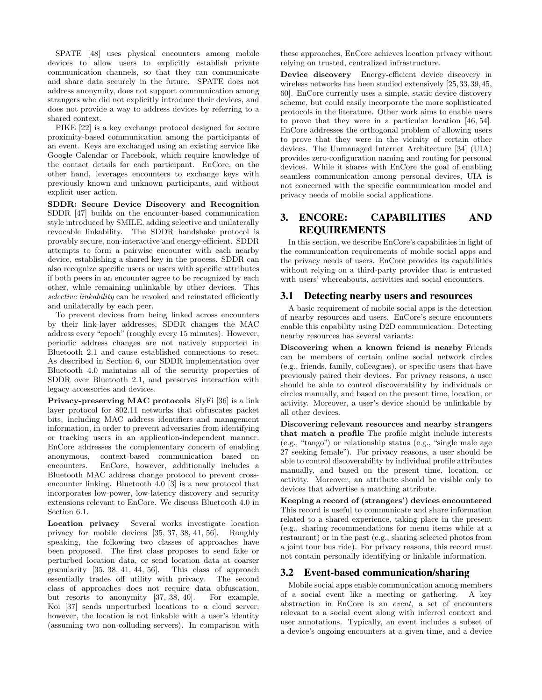SPATE [\[48\]](#page-12-7) uses physical encounters among mobile devices to allow users to explicitly establish private communication channels, so that they can communicate and share data securely in the future. SPATE does not address anonymity, does not support communication among strangers who did not explicitly introduce their devices, and does not provide a way to address devices by referring to a shared context.

PIKE [\[22\]](#page-11-20) is a key exchange protocol designed for secure proximity-based communication among the participants of an event. Keys are exchanged using an existing service like Google Calendar or Facebook, which require knowledge of the contact details for each participant. EnCore, on the other hand, leverages encounters to exchange keys with previously known and unknown participants, and without explicit user action.

SDDR: Secure Device Discovery and Recognition SDDR [\[47\]](#page-12-4) builds on the encounter-based communication style introduced by SMILE, adding selective and unilaterally revocable linkability. The SDDR handshake protocol is provably secure, non-interactive and energy-efficient. SDDR attempts to form a pairwise encounter with each nearby device, establishing a shared key in the process. SDDR can also recognize specific users or users with specific attributes if both peers in an encounter agree to be recognized by each other, while remaining unlinkable by other devices. This selective linkability can be revoked and reinstated efficiently and unilaterally by each peer.

To prevent devices from being linked across encounters by their link-layer addresses, SDDR changes the MAC address every "epoch" (roughly every 15 minutes). However, periodic address changes are not natively supported in Bluetooth 2.1 and cause established connections to reset. As described in Section [6,](#page-7-0) our SDDR implementation over Bluetooth 4.0 maintains all of the security properties of SDDR over Bluetooth 2.1, and preserves interaction with legacy accessories and devices.

Privacy-preserving MAC protocols SlyFi [\[36\]](#page-12-8) is a link layer protocol for 802.11 networks that obfuscates packet bits, including MAC address identifiers and management information, in order to prevent adversaries from identifying or tracking users in an application-independent manner. EnCore addresses the complementary concern of enabling anonymous, context-based communication based on encounters. EnCore, however, additionally includes a Bluetooth MAC address change protocol to prevent crossencounter linking. Bluetooth 4.0 [\[3\]](#page-11-21) is a new protocol that incorporates low-power, low-latency discovery and security extensions relevant to EnCore. We discuss Bluetooth 4.0 in Section [6.1.](#page-7-1)

Location privacy Several works investigate location privacy for mobile devices [\[35,](#page-12-9) [37,](#page-12-10) [38,](#page-12-11) [41,](#page-12-12) [56\]](#page-13-3). Roughly speaking, the following two classes of approaches have been proposed. The first class proposes to send fake or perturbed location data, or send location data at coarser granularity [\[35,](#page-12-9) [38,](#page-12-11) [41,](#page-12-12) [44,](#page-12-13) [56\]](#page-13-3). This class of approach essentially trades off utility with privacy. The second class of approaches does not require data obfuscation, but resorts to anonymity [\[37,](#page-12-10) [38,](#page-12-11) [40\]](#page-12-14). For example, Koi [\[37\]](#page-12-10) sends unperturbed locations to a cloud server; however, the location is not linkable with a user's identity (assuming two non-colluding servers). In comparison with these approaches, EnCore achieves location privacy without relying on trusted, centralized infrastructure.

Device discovery Energy-efficient device discovery in wireless networks has been studied extensively [\[25,](#page-12-15)[33,](#page-12-16)[39,](#page-12-17)[45,](#page-12-18) [60\]](#page-13-4). EnCore currently uses a simple, static device discovery scheme, but could easily incorporate the more sophisticated protocols in the literature. Other work aims to enable users to prove that they were in a particular location [\[46,](#page-12-19) [54\]](#page-13-5). EnCore addresses the orthogonal problem of allowing users to prove that they were in the vicinity of certain other devices. The Unmanaged Internet Architecture [\[34\]](#page-12-20) (UIA) provides zero-configuration naming and routing for personal devices. While it shares with EnCore the goal of enabling seamless communication among personal devices, UIA is not concerned with the specific communication model and privacy needs of mobile social applications.

# <span id="page-2-0"></span>3. ENCORE: CAPABILITIES AND REQUIREMENTS

In this section, we describe EnCore's capabilities in light of the communication requirements of mobile social apps and the privacy needs of users. EnCore provides its capabilities without relying on a third-party provider that is entrusted with users' whereabouts, activities and social encounters.

## 3.1 Detecting nearby users and resources

A basic requirement of mobile social apps is the detection of nearby resources and users. EnCore's secure encounters enable this capability using D2D communication. Detecting nearby resources has several variants:

Discovering when a known friend is nearby Friends can be members of certain online social network circles (e.g., friends, family, colleagues), or specific users that have previously paired their devices. For privacy reasons, a user should be able to control discoverability by individuals or circles manually, and based on the present time, location, or activity. Moreover, a user's device should be unlinkable by all other devices.

Discovering relevant resources and nearby strangers that match a profile The profile might include interests (e.g., "tango") or relationship status (e.g., "single male age 27 seeking female"). For privacy reasons, a user should be able to control discoverability by individual profile attributes manually, and based on the present time, location, or activity. Moreover, an attribute should be visible only to devices that advertise a matching attribute.

Keeping a record of (strangers') devices encountered This record is useful to communicate and share information related to a shared experience, taking place in the present (e.g., sharing recommendations for menu items while at a restaurant) or in the past (e.g., sharing selected photos from a joint tour bus ride). For privacy reasons, this record must not contain personally identifying or linkable information.

## 3.2 Event-based communication/sharing

Mobile social apps enable communication among members of a social event like a meeting or gathering. A key abstraction in EnCore is an event, a set of encounters relevant to a social event along with inferred context and user annotations. Typically, an event includes a subset of a device's ongoing encounters at a given time, and a device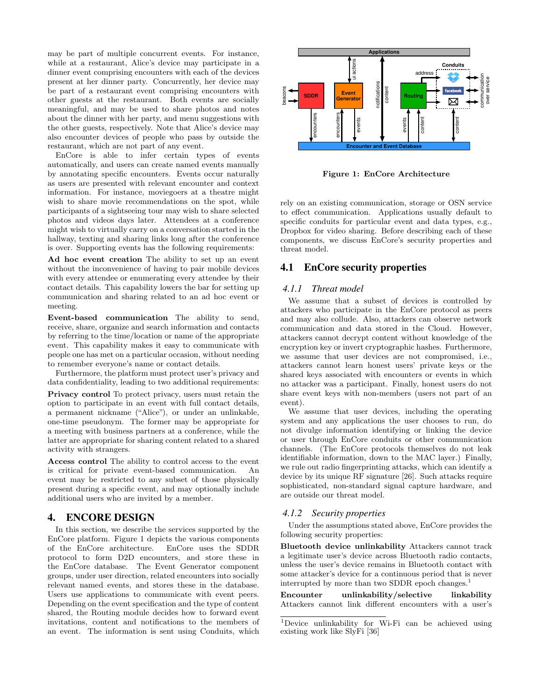may be part of multiple concurrent events. For instance, while at a restaurant, Alice's device may participate in a dinner event comprising encounters with each of the devices present at her dinner party. Concurrently, her device may be part of a restaurant event comprising encounters with other guests at the restaurant. Both events are socially meaningful, and may be used to share photos and notes about the dinner with her party, and menu suggestions with the other guests, respectively. Note that Alice's device may also encounter devices of people who pass by outside the restaurant, which are not part of any event.

EnCore is able to infer certain types of events automatically, and users can create named events manually by annotating specific encounters. Events occur naturally as users are presented with relevant encounter and context information. For instance, moviegoers at a theatre might wish to share movie recommendations on the spot, while participants of a sightseeing tour may wish to share selected photos and videos days later. Attendees at a conference might wish to virtually carry on a conversation started in the hallway, texting and sharing links long after the conference is over. Supporting events has the following requirements:

Ad hoc event creation The ability to set up an event without the inconvenience of having to pair mobile devices with every attendee or enumerating every attendee by their contact details. This capability lowers the bar for setting up communication and sharing related to an ad hoc event or meeting.

Event-based communication The ability to send, receive, share, organize and search information and contacts by referring to the time/location or name of the appropriate event. This capability makes it easy to communicate with people one has met on a particular occasion, without needing to remember everyone's name or contact details.

Furthermore, the platform must protect user's privacy and data confidentiality, leading to two additional requirements:

Privacy control To protect privacy, users must retain the option to participate in an event with full contact details, a permanent nickname ("Alice"), or under an unlinkable, one-time pseudonym. The former may be appropriate for a meeting with business partners at a conference, while the latter are appropriate for sharing content related to a shared activity with strangers.

Access control The ability to control access to the event is critical for private event-based communication. An event may be restricted to any subset of those physically present during a specific event, and may optionally include additional users who are invited by a member.

## <span id="page-3-0"></span>4. ENCORE DESIGN

In this section, we describe the services supported by the EnCore platform. Figure [1](#page-3-1) depicts the various components of the EnCore architecture. EnCore uses the SDDR protocol to form D2D encounters, and store these in the EnCore database. The Event Generator component groups, under user direction, related encounters into socially relevant named events, and stores these in the database. Users use applications to communicate with event peers. Depending on the event specification and the type of content shared, the Routing module decides how to forward event invitations, content and notifications to the members of an event. The information is sent using Conduits, which



<span id="page-3-1"></span>Figure 1: EnCore Architecture

rely on an existing communication, storage or OSN service to effect communication. Applications usually default to specific conduits for particular event and data types, e.g., Dropbox for video sharing. Before describing each of these components, we discuss EnCore's security properties and threat model.

## 4.1 EnCore security properties

## *4.1.1 Threat model*

We assume that a subset of devices is controlled by attackers who participate in the EnCore protocol as peers and may also collude. Also, attackers can observe network communication and data stored in the Cloud. However, attackers cannot decrypt content without knowledge of the encryption key or invert cryptographic hashes. Furthermore, we assume that user devices are not compromised, i.e., attackers cannot learn honest users' private keys or the shared keys associated with encounters or events in which no attacker was a participant. Finally, honest users do not share event keys with non-members (users not part of an event).

We assume that user devices, including the operating system and any applications the user chooses to run, do not divulge information identifying or linking the device or user through EnCore conduits or other communication channels. (The EnCore protocols themselves do not leak identifiable information, down to the MAC layer.) Finally, we rule out radio fingerprinting attacks, which can identify a device by its unique RF signature [\[26\]](#page-12-21). Such attacks require sophisticated, non-standard signal capture hardware, and are outside our threat model.

## *4.1.2 Security properties*

Under the assumptions stated above, EnCore provides the following security properties:

Bluetooth device unlinkability Attackers cannot track a legitimate user's device across Bluetooth radio contacts, unless the user's device remains in Bluetooth contact with some attacker's device for a continuous period that is never interrupted by more than two SDDR epoch changes.<sup>1</sup>

Encounter unlinkability/selective linkability Attackers cannot link different encounters with a user's

<sup>1</sup>Device unlinkability for Wi-Fi can be achieved using existing work like SlyFi [\[36\]](#page-12-8)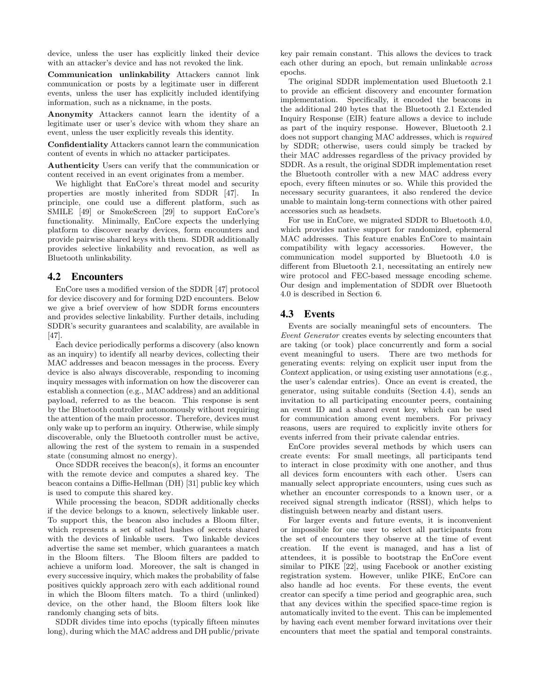device, unless the user has explicitly linked their device with an attacker's device and has not revoked the link.

Communication unlinkability Attackers cannot link communication or posts by a legitimate user in different events, unless the user has explicitly included identifying information, such as a nickname, in the posts.

Anonymity Attackers cannot learn the identity of a legitimate user or user's device with whom they share an event, unless the user explicitly reveals this identity.

Confidentiality Attackers cannot learn the communication content of events in which no attacker participates.

Authenticity Users can verify that the communication or content received in an event originates from a member.

We highlight that EnCore's threat model and security properties are mostly inherited from SDDR [\[47\]](#page-12-4). In principle, one could use a different platform, such as SMILE [\[49\]](#page-12-1) or SmokeScreen [\[29\]](#page-12-0) to support EnCore's functionality. Minimally, EnCore expects the underlying platform to discover nearby devices, form encounters and provide pairwise shared keys with them. SDDR additionally provides selective linkability and revocation, as well as Bluetooth unlinkability.

## 4.2 Encounters

EnCore uses a modified version of the SDDR [\[47\]](#page-12-4) protocol for device discovery and for forming D2D encounters. Below we give a brief overview of how SDDR forms encounters and provides selective linkability. Further details, including SDDR's security guarantees and scalability, are available in [\[47\]](#page-12-4).

Each device periodically performs a discovery (also known as an inquiry) to identify all nearby devices, collecting their MAC addresses and beacon messages in the process. Every device is also always discoverable, responding to incoming inquiry messages with information on how the discoverer can establish a connection (e.g., MAC address) and an additional payload, referred to as the beacon. This response is sent by the Bluetooth controller autonomously without requiring the attention of the main processor. Therefore, devices must only wake up to perform an inquiry. Otherwise, while simply discoverable, only the Bluetooth controller must be active, allowing the rest of the system to remain in a suspended state (consuming almost no energy).

Once SDDR receives the beacon(s), it forms an encounter with the remote device and computes a shared key. The beacon contains a Diffie-Hellman (DH) [\[31\]](#page-12-22) public key which is used to compute this shared key.

While processing the beacon, SDDR additionally checks if the device belongs to a known, selectively linkable user. To support this, the beacon also includes a Bloom filter, which represents a set of salted hashes of secrets shared with the devices of linkable users. Two linkable devices advertise the same set member, which guarantees a match in the Bloom filters. The Bloom filters are padded to achieve a uniform load. Moreover, the salt is changed in every successive inquiry, which makes the probability of false positives quickly approach zero with each additional round in which the Bloom filters match. To a third (unlinked) device, on the other hand, the Bloom filters look like randomly changing sets of bits.

SDDR divides time into epochs (typically fifteen minutes long), during which the MAC address and DH public/private key pair remain constant. This allows the devices to track each other during an epoch, but remain unlinkable across epochs.

The original SDDR implementation used Bluetooth 2.1 to provide an efficient discovery and encounter formation implementation. Specifically, it encoded the beacons in the additional 240 bytes that the Bluetooth 2.1 Extended Inquiry Response (EIR) feature allows a device to include as part of the inquiry response. However, Bluetooth 2.1 does not support changing MAC addresses, which is required by SDDR; otherwise, users could simply be tracked by their MAC addresses regardless of the privacy provided by SDDR. As a result, the original SDDR implementation reset the Bluetooth controller with a new MAC address every epoch, every fifteen minutes or so. While this provided the necessary security guarantees, it also rendered the device unable to maintain long-term connections with other paired accessories such as headsets.

For use in EnCore, we migrated SDDR to Bluetooth 4.0, which provides native support for randomized, ephemeral MAC addresses. This feature enables EnCore to maintain compatibility with legacy accessories. However, the communication model supported by Bluetooth 4.0 is different from Bluetooth 2.1, necessitating an entirely new wire protocol and FEC-based message encoding scheme. Our design and implementation of SDDR over Bluetooth 4.0 is described in Section [6.](#page-7-0)

## <span id="page-4-0"></span>4.3 Events

Events are socially meaningful sets of encounters. The Event Generator creates events by selecting encounters that are taking (or took) place concurrently and form a social event meaningful to users. There are two methods for generating events: relying on explicit user input from the Context application, or using existing user annotations (e.g., the user's calendar entries). Once an event is created, the generator, using suitable conduits (Section [4.4\)](#page-5-1), sends an invitation to all participating encounter peers, containing an event ID and a shared event key, which can be used for communication among event members. For privacy reasons, users are required to explicitly invite others for events inferred from their private calendar entries.

EnCore provides several methods by which users can create events: For small meetings, all participants tend to interact in close proximity with one another, and thus all devices form encounters with each other. Users can manually select appropriate encounters, using cues such as whether an encounter corresponds to a known user, or a received signal strength indicator (RSSI), which helps to distinguish between nearby and distant users.

For larger events and future events, it is inconvenient or impossible for one user to select all participants from the set of encounters they observe at the time of event creation. If the event is managed, and has a list of attendees, it is possible to bootstrap the EnCore event similar to PIKE [\[22\]](#page-11-20), using Facebook or another existing registration system. However, unlike PIKE, EnCore can also handle ad hoc events. For these events, the event creator can specify a time period and geographic area, such that any devices within the specified space-time region is automatically invited to the event. This can be implemented by having each event member forward invitations over their encounters that meet the spatial and temporal constraints.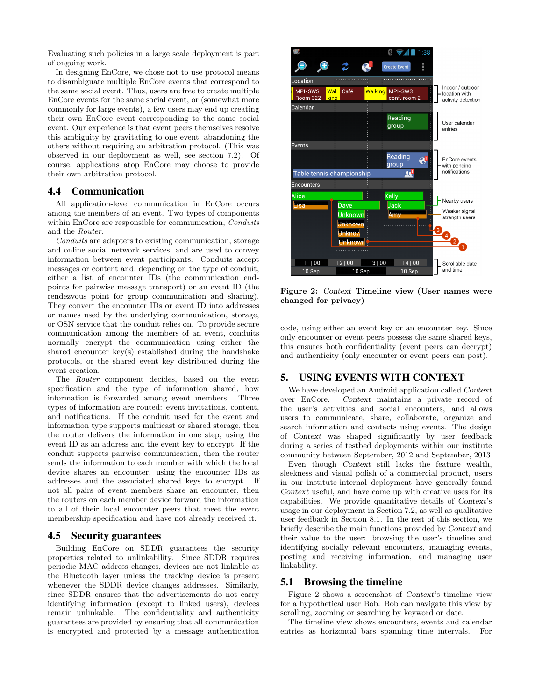Evaluating such policies in a large scale deployment is part of ongoing work.

In designing EnCore, we chose not to use protocol means to disambiguate multiple EnCore events that correspond to the same social event. Thus, users are free to create multiple EnCore events for the same social event, or (somewhat more commonly for large events), a few users may end up creating their own EnCore event corresponding to the same social event. Our experience is that event peers themselves resolve this ambiguity by gravitating to one event, abandoning the others without requiring an arbitration protocol. (This was observed in our deployment as well, see section [7.2\)](#page-8-1). Of course, applications atop EnCore may choose to provide their own arbitration protocol.

## <span id="page-5-1"></span>4.4 Communication

All application-level communication in EnCore occurs among the members of an event. Two types of components within EnCore are responsible for communication, *Conduits* and the Router.

Conduits are adapters to existing communication, storage and online social network services, and are used to convey information between event participants. Conduits accept messages or content and, depending on the type of conduit, either a list of encounter IDs (the communication endpoints for pairwise message transport) or an event ID (the rendezvous point for group communication and sharing). They convert the encounter IDs or event ID into addresses or names used by the underlying communication, storage, or OSN service that the conduit relies on. To provide secure communication among the members of an event, conduits normally encrypt the communication using either the shared encounter key(s) established during the handshake protocols, or the shared event key distributed during the event creation.

The Router component decides, based on the event specification and the type of information shared, how information is forwarded among event members. Three types of information are routed: event invitations, content, and notifications. If the conduit used for the event and information type supports multicast or shared storage, then the router delivers the information in one step, using the event ID as an address and the event key to encrypt. If the conduit supports pairwise communication, then the router sends the information to each member with which the local device shares an encounter, using the encounter IDs as addresses and the associated shared keys to encrypt. If not all pairs of event members share an encounter, then the routers on each member device forward the information to all of their local encounter peers that meet the event membership specification and have not already received it.

#### 4.5 Security guarantees

Building EnCore on SDDR guarantees the security properties related to unlinkability. Since SDDR requires periodic MAC address changes, devices are not linkable at the Bluetooth layer unless the tracking device is present whenever the SDDR device changes addresses. Similarly, since SDDR ensures that the advertisements do not carry identifying information (except to linked users), devices remain unlinkable. The confidentiality and authenticity guarantees are provided by ensuring that all communication is encrypted and protected by a message authentication



<span id="page-5-2"></span>Figure 2: Context Timeline view (User names were changed for privacy)

code, using either an event key or an encounter key. Since only encounter or event peers possess the same shared keys, this ensures both confidentiality (event peers can decrypt) and authenticity (only encounter or event peers can post).

## <span id="page-5-0"></span>5. USING EVENTS WITH CONTEXT

We have developed an Android application called Context over EnCore. Context maintains a private record of the user's activities and social encounters, and allows users to communicate, share, collaborate, organize and search information and contacts using events. The design of Context was shaped significantly by user feedback during a series of testbed deployments within our institute community between September, 2012 and September, 2013

Even though Context still lacks the feature wealth, sleekness and visual polish of a commercial product, users in our institute-internal deployment have generally found Context useful, and have come up with creative uses for its capabilities. We provide quantitative details of Context's usage in our deployment in Section [7.2,](#page-8-1) as well as qualitative user feedback in Section [8.1.](#page-10-1) In the rest of this section, we briefly describe the main functions provided by Context and their value to the user: browsing the user's timeline and identifying socially relevant encounters, managing events, posting and receiving information, and managing user linkability.

#### 5.1 Browsing the timeline

Figure [2](#page-5-2) shows a screenshot of Context's timeline view for a hypothetical user Bob. Bob can navigate this view by scrolling, zooming or searching by keyword or date.

The timeline view shows encounters, events and calendar entries as horizontal bars spanning time intervals. For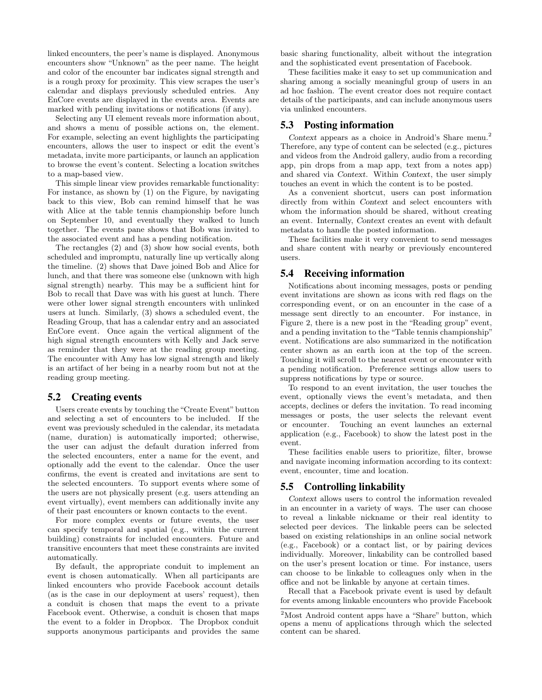linked encounters, the peer's name is displayed. Anonymous encounters show "Unknown" as the peer name. The height and color of the encounter bar indicates signal strength and is a rough proxy for proximity. This view scrapes the user's calendar and displays previously scheduled entries. Any EnCore events are displayed in the events area. Events are marked with pending invitations or notifications (if any).

Selecting any UI element reveals more information about, and shows a menu of possible actions on, the element. For example, selecting an event highlights the participating encounters, allows the user to inspect or edit the event's metadata, invite more participants, or launch an application to browse the event's content. Selecting a location switches to a map-based view.

This simple linear view provides remarkable functionality: For instance, as shown by (1) on the Figure, by navigating back to this view, Bob can remind himself that he was with Alice at the table tennis championship before lunch on September 10, and eventually they walked to lunch together. The events pane shows that Bob was invited to the associated event and has a pending notification.

The rectangles (2) and (3) show how social events, both scheduled and impromptu, naturally line up vertically along the timeline. (2) shows that Dave joined Bob and Alice for lunch, and that there was someone else (unknown with high signal strength) nearby. This may be a sufficient hint for Bob to recall that Dave was with his guest at lunch. There were other lower signal strength encounters with unlinked users at lunch. Similarly, (3) shows a scheduled event, the Reading Group, that has a calendar entry and an associated EnCore event. Once again the vertical alignment of the high signal strength encounters with Kelly and Jack serve as reminder that they were at the reading group meeting. The encounter with Amy has low signal strength and likely is an artifact of her being in a nearby room but not at the reading group meeting.

#### 5.2 Creating events

Users create events by touching the "Create Event" button and selecting a set of encounters to be included. If the event was previously scheduled in the calendar, its metadata (name, duration) is automatically imported; otherwise, the user can adjust the default duration inferred from the selected encounters, enter a name for the event, and optionally add the event to the calendar. Once the user confirms, the event is created and invitations are sent to the selected encounters. To support events where some of the users are not physically present (e.g. users attending an event virtually), event members can additionally invite any of their past encounters or known contacts to the event.

For more complex events or future events, the user can specify temporal and spatial (e.g., within the current building) constraints for included encounters. Future and transitive encounters that meet these constraints are invited automatically.

By default, the appropriate conduit to implement an event is chosen automatically. When all participants are linked encounters who provide Facebook account details (as is the case in our deployment at users' request), then a conduit is chosen that maps the event to a private Facebook event. Otherwise, a conduit is chosen that maps the event to a folder in Dropbox. The Dropbox conduit supports anonymous participants and provides the same basic sharing functionality, albeit without the integration and the sophisticated event presentation of Facebook.

These facilities make it easy to set up communication and sharing among a socially meaningful group of users in an ad hoc fashion. The event creator does not require contact details of the participants, and can include anonymous users via unlinked encounters.

## 5.3 Posting information

Context appears as a choice in Android's Share menu.<sup>2</sup> Therefore, any type of content can be selected (e.g., pictures and videos from the Android gallery, audio from a recording app, pin drops from a map app, text from a notes app) and shared via Context. Within Context, the user simply touches an event in which the content is to be posted.

As a convenient shortcut, users can post information directly from within Context and select encounters with whom the information should be shared, without creating an event. Internally, Context creates an event with default metadata to handle the posted information.

These facilities make it very convenient to send messages and share content with nearby or previously encountered users.

## 5.4 Receiving information

Notifications about incoming messages, posts or pending event invitations are shown as icons with red flags on the corresponding event, or on an encounter in the case of a message sent directly to an encounter. For instance, in Figure [2,](#page-5-2) there is a new post in the "Reading group" event, and a pending invitation to the "Table tennis championship" event. Notifications are also summarized in the notification center shown as an earth icon at the top of the screen. Touching it will scroll to the nearest event or encounter with a pending notification. Preference settings allow users to suppress notifications by type or source.

To respond to an event invitation, the user touches the event, optionally views the event's metadata, and then accepts, declines or defers the invitation. To read incoming messages or posts, the user selects the relevant event or encounter. Touching an event launches an external application (e.g., Facebook) to show the latest post in the event.

These facilities enable users to prioritize, filter, browse and navigate incoming information according to its context: event, encounter, time and location.

#### 5.5 Controlling linkability

Context allows users to control the information revealed in an encounter in a variety of ways. The user can choose to reveal a linkable nickname or their real identity to selected peer devices. The linkable peers can be selected based on existing relationships in an online social network (e.g., Facebook) or a contact list, or by pairing devices individually. Moreover, linkability can be controlled based on the user's present location or time. For instance, users can choose to be linkable to colleagues only when in the office and not be linkable by anyone at certain times.

Recall that a Facebook private event is used by default for events among linkable encounters who provide Facebook

 $2^2$ Most Android content apps have a "Share" button, which opens a menu of applications through which the selected content can be shared.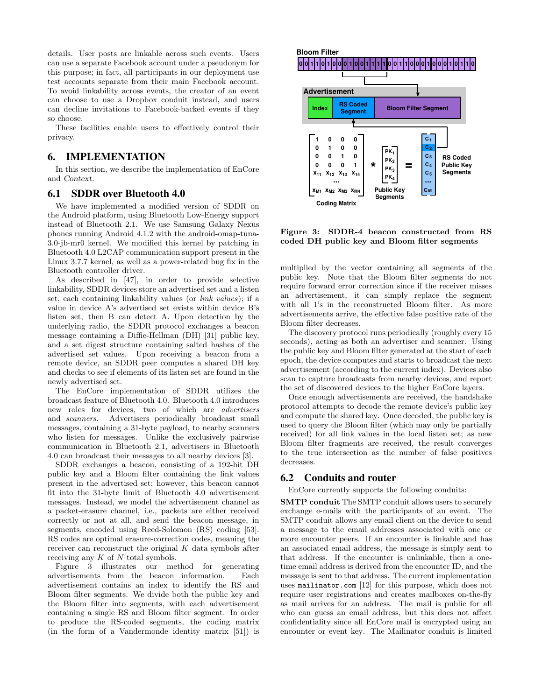details. User posts are linkable across such events. Users can use a separate Facebook account under a pseudonym for this purpose; in fact, all participants in our deployment use test accounts separate from their main Facebook account. To avoid linkability across events, the creator of an event can choose to use a Dropbox conduit instead, and users can decline invitations to Facebook-backed events if they so choose.

These facilities enable users to effectively control their privacy.

## <span id="page-7-0"></span>6. IMPLEMENTATION

In this section, we describe the implementation of EnCore and Context.

## <span id="page-7-1"></span>6.1 SDDR over Bluetooth 4.0

We have implemented a modified version of SDDR on the Android platform, using Bluetooth Low-Energy support instead of Bluetooth 2.1. We use Samsung Galaxy Nexus phones running Android 4.1.2 with the android-omap-tuna-3.0-jb-mr0 kernel. We modified this kernel by patching in Bluetooth 4.0 L2CAP communication support present in the Linux 3.7.7 kernel, as well as a power-related bug fix in the Bluetooth controller driver.

As described in [\[47\]](#page-12-4), in order to provide selective linkability, SDDR devices store an advertised set and a listen set, each containing linkability values (or link values); if a value in device A's advertised set exists within device B's listen set, then B can detect A. Upon detection by the underlying radio, the SDDR protocol exchanges a beacon message containing a Diffie-Hellman (DH) [\[31\]](#page-12-22) public key, and a set digest structure containing salted hashes of the advertised set values. Upon receiving a beacon from a remote device, an SDDR peer computes a shared DH key and checks to see if elements of its listen set are found in the newly advertised set.

The EnCore implementation of SDDR utilizes the broadcast feature of Bluetooth 4.0. Bluetooth 4.0 introduces new roles for devices, two of which are advertisers and scanners. Advertisers periodically broadcast small messages, containing a 31-byte payload, to nearby scanners who listen for messages. Unlike the exclusively pairwise communication in Bluetooth 2.1, advertisers in Bluetooth 4.0 can broadcast their messages to all nearby devices [\[3\]](#page-11-21).

SDDR exchanges a beacon, consisting of a 192-bit DH public key and a Bloom filter containing the link values present in the advertised set; however, this beacon cannot fit into the 31-byte limit of Bluetooth 4.0 advertisement messages. Instead, we model the advertisement channel as a packet-erasure channel, i.e., packets are either received correctly or not at all, and send the beacon message, in segments, encoded using Reed-Solomon (RS) coding [\[53\]](#page-13-6). RS codes are optimal erasure-correction codes, meaning the receiver can reconstruct the original K data symbols after receiving any  $K$  of  $N$  total symbols.

Figure [3](#page-7-2) illustrates our method for generating advertisements from the beacon information. Each advertisement contains an index to identify the RS and Bloom filter segments. We divide both the public key and the Bloom filter into segments, with each advertisement containing a single RS and Bloom filter segment. In order to produce the RS-coded segments, the coding matrix (in the form of a Vandermonde identity matrix [\[51\]](#page-13-7)) is



<span id="page-7-2"></span>Figure 3: SDDR-4 beacon constructed from RS coded DH public key and Bloom filter segments

multiplied by the vector containing all segments of the public key. Note that the Bloom filter segments do not require forward error correction since if the receiver misses an advertisement, it can simply replace the segment with all 1's in the reconstructed Bloom filter. As more advertisements arrive, the effective false positive rate of the Bloom filter decreases.

The discovery protocol runs periodically (roughly every 15 seconds), acting as both an advertiser and scanner. Using the public key and Bloom filter generated at the start of each epoch, the device computes and starts to broadcast the next advertisement (according to the current index). Devices also scan to capture broadcasts from nearby devices, and report the set of discovered devices to the higher EnCore layers.

Once enough advertisements are received, the handshake protocol attempts to decode the remote device's public key and compute the shared key. Once decoded, the public key is used to query the Bloom filter (which may only be partially received) for all link values in the local listen set; as new Bloom filter fragments are received, the result converges to the true intersection as the number of false positives decreases.

#### 6.2 Conduits and router

EnCore currently supports the following conduits:

SMTP conduit The SMTP conduit allows users to securely exchange e-mails with the participants of an event. The SMTP conduit allows any email client on the device to send a message to the email addresses associated with one or more encounter peers. If an encounter is linkable and has an associated email address, the message is simply sent to that address. If the encounter is unlinkable, then a onetime email address is derived from the encounter ID, and the message is sent to that address. The current implementation uses mailinator.com [\[12\]](#page-11-22) for this purpose, which does not require user registrations and creates mailboxes on-the-fly as mail arrives for an address. The mail is public for all who can guess an email address, but this does not affect confidentiality since all EnCore mail is encrypted using an encounter or event key. The Mailinator conduit is limited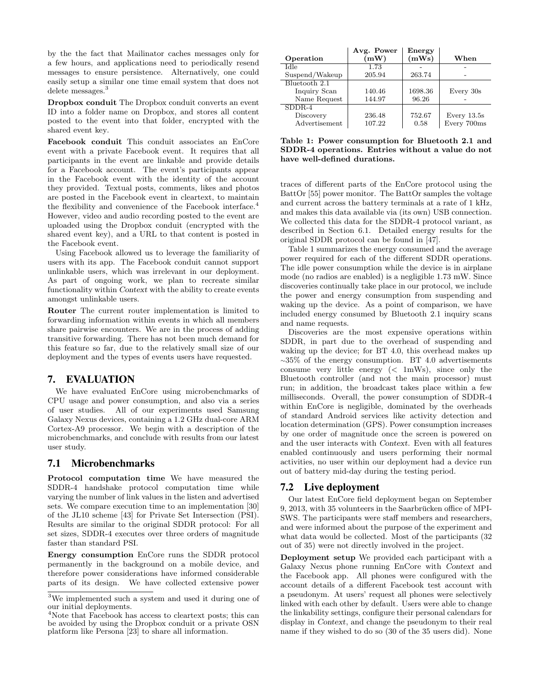by the the fact that Mailinator caches messages only for a few hours, and applications need to periodically resend messages to ensure persistence. Alternatively, one could easily setup a similar one time email system that does not delete messages.<sup>3</sup>

Dropbox conduit The Dropbox conduit converts an event ID into a folder name on Dropbox, and stores all content posted to the event into that folder, encrypted with the shared event key.

Facebook conduit This conduit associates an EnCore event with a private Facebook event. It requires that all participants in the event are linkable and provide details for a Facebook account. The event's participants appear in the Facebook event with the identity of the account they provided. Textual posts, comments, likes and photos are posted in the Facebook event in cleartext, to maintain the flexibility and convenience of the Facebook interface.<sup>4</sup> However, video and audio recording posted to the event are uploaded using the Dropbox conduit (encrypted with the shared event key), and a URL to that content is posted in the Facebook event.

Using Facebook allowed us to leverage the familiarity of users with its app. The Facebook conduit cannot support unlinkable users, which was irrelevant in our deployment. As part of ongoing work, we plan to recreate similar functionality within Context with the ability to create events amongst unlinkable users.

Router The current router implementation is limited to forwarding information within events in which all members share pairwise encounters. We are in the process of adding transitive forwarding. There has not been much demand for this feature so far, due to the relatively small size of our deployment and the types of events users have requested.

## <span id="page-8-0"></span>7. EVALUATION

We have evaluated EnCore using microbenchmarks of CPU usage and power consumption, and also via a series of user studies. All of our experiments used Samsung Galaxy Nexus devices, containing a 1.2 GHz dual-core ARM Cortex-A9 processor. We begin with a description of the microbenchmarks, and conclude with results from our latest user study.

#### 7.1 Microbenchmarks

Protocol computation time We have measured the SDDR-4 handshake protocol computation time while varying the number of link values in the listen and advertised sets. We compare execution time to an implementation [\[30\]](#page-12-23) of the JL10 scheme [\[43\]](#page-12-24) for Private Set Intersection (PSI). Results are similar to the original SDDR protocol: For all set sizes, SDDR-4 executes over three orders of magnitude faster than standard PSI.

Energy consumption EnCore runs the SDDR protocol permanently in the background on a mobile device, and therefore power considerations have informed considerable parts of its design. We have collected extensive power

| Operation      | Avg. Power<br>(mW) | Energy<br>(mWs) | When          |
|----------------|--------------------|-----------------|---------------|
| Idle           | 1.73               |                 |               |
| Suspend/Wakeup | 205.94             | 263.74          |               |
| Bluetooth 2.1  |                    |                 |               |
| Inquiry Scan   | 140.46             | 1698.36         | Every 30s     |
| Name Request   | 144.97             | 96.26           |               |
| SDDR-4         |                    |                 |               |
| Discovery      | 236.48             | 752.67          | Every $13.5s$ |
| Advertisement  | 107.22             | 0.58            | Every 700ms   |

<span id="page-8-2"></span>Table 1: Power consumption for Bluetooth 2.1 and SDDR-4 operations. Entries without a value do not have well-defined durations.

traces of different parts of the EnCore protocol using the BattOr [\[55\]](#page-13-8) power monitor. The BattOr samples the voltage and current across the battery terminals at a rate of 1 kHz, and makes this data available via (its own) USB connection. We collected this data for the SDDR-4 protocol variant, as described in Section [6.1.](#page-7-1) Detailed energy results for the original SDDR protocol can be found in [\[47\]](#page-12-4).

Table [1](#page-8-2) summarizes the energy consumed and the average power required for each of the different SDDR operations. The idle power consumption while the device is in airplane mode (no radios are enabled) is a negligible 1.73 mW. Since discoveries continually take place in our protocol, we include the power and energy consumption from suspending and waking up the device. As a point of comparison, we have included energy consumed by Bluetooth 2.1 inquiry scans and name requests.

Discoveries are the most expensive operations within SDDR, in part due to the overhead of suspending and waking up the device; for BT 4.0, this overhead makes up <sup>∼</sup>35% of the energy consumption. BT 4.0 advertisements consume very little energy (< 1mWs), since only the Bluetooth controller (and not the main processor) must run; in addition, the broadcast takes place within a few milliseconds. Overall, the power consumption of SDDR-4 within EnCore is negligible, dominated by the overheads of standard Android services like activity detection and location determination (GPS). Power consumption increases by one order of magnitude once the screen is powered on and the user interacts with Context. Even with all features enabled continuously and users performing their normal activities, no user within our deployment had a device run out of battery mid-day during the testing period.

#### <span id="page-8-1"></span>7.2 Live deployment

Our latest EnCore field deployment began on September 9, 2013, with 35 volunteers in the Saarbrücken office of MPI-SWS. The participants were staff members and researchers, and were informed about the purpose of the experiment and what data would be collected. Most of the participants (32 out of 35) were not directly involved in the project.

Deployment setup We provided each participant with a Galaxy Nexus phone running EnCore with Context and the Facebook app. All phones were configured with the account details of a different Facebook test account with a pseudonym. At users' request all phones were selectively linked with each other by default. Users were able to change the linkability settings, configure their personal calendars for display in Context, and change the pseudonym to their real name if they wished to do so (30 of the 35 users did). None

<sup>3</sup>We implemented such a system and used it during one of our initial deployments.

<sup>4</sup>Note that Facebook has access to cleartext posts; this can be avoided by using the Dropbox conduit or a private OSN platform like Persona [\[23\]](#page-11-23) to share all information.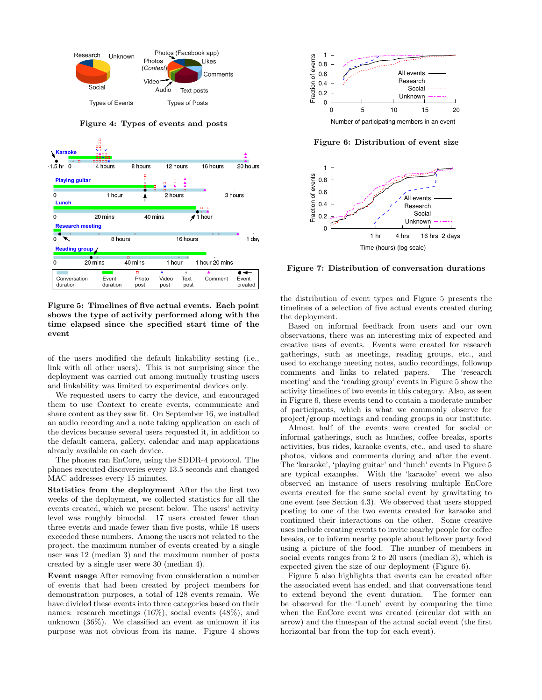

<span id="page-9-0"></span>Figure 4: Types of events and posts



<span id="page-9-1"></span>Figure 5: Timelines of five actual events. Each point shows the type of activity performed along with the time elapsed since the specified start time of the event

of the users modified the default linkability setting (i.e., link with all other users). This is not surprising since the deployment was carried out among mutually trusting users and linkability was limited to experimental devices only.

We requested users to carry the device, and encouraged them to use Context to create events, communicate and share content as they saw fit. On September 16, we installed an audio recording and a note taking application on each of the devices because several users requested it, in addition to the default camera, gallery, calendar and map applications already available on each device.

The phones ran EnCore, using the SDDR-4 protocol. The phones executed discoveries every 13.5 seconds and changed MAC addresses every 15 minutes.

Statistics from the deployment After the the first two weeks of the deployment, we collected statistics for all the events created, which we present below. The users' activity level was roughly bimodal. 17 users created fewer than three events and made fewer than five posts, while 18 users exceeded these numbers. Among the users not related to the project, the maximum number of events created by a single user was 12 (median 3) and the maximum number of posts created by a single user were 30 (median 4).

Event usage After removing from consideration a number of events that had been created by project members for demonstration purposes, a total of 128 events remain. We have divided these events into three categories based on their names: research meetings (16%), social events (48%), and unknown (36%). We classified an event as unknown if its purpose was not obvious from its name. Figure [4](#page-9-0) shows



<span id="page-9-2"></span>Figure 6: Distribution of event size



<span id="page-9-3"></span>Figure 7: Distribution of conversation durations

the distribution of event types and Figure [5](#page-9-1) presents the timelines of a selection of five actual events created during the deployment.

Based on informal feedback from users and our own observations, there was an interesting mix of expected and creative uses of events. Events were created for research gatherings, such as meetings, reading groups, etc., and used to exchange meeting notes, audio recordings, followup comments and links to related papers. The 'research meeting' and the 'reading group' events in Figure [5](#page-9-1) show the activity timelines of two events in this category. Also, as seen in Figure [6,](#page-9-2) these events tend to contain a moderate number of participants, which is what we commonly observe for project/group meetings and reading groups in our institute.

Almost half of the events were created for social or informal gatherings, such as lunches, coffee breaks, sports activities, bus rides, karaoke events, etc., and used to share photos, videos and comments during and after the event. The 'karaoke', 'playing guitar' and 'lunch' events in Figure [5](#page-9-1) are typical examples. With the 'karaoke' event we also observed an instance of users resolving multiple EnCore events created for the same social event by gravitating to one event (see Section [4.3\)](#page-4-0). We observed that users stopped posting to one of the two events created for karaoke and continued their interactions on the other. Some creative uses include creating events to invite nearby people for coffee breaks, or to inform nearby people about leftover party food using a picture of the food. The number of members in social events ranges from 2 to 20 users (median 3), which is expected given the size of our deployment (Figure [6\)](#page-9-2).

Figure [5](#page-9-1) also highlights that events can be created after the associated event has ended, and that conversations tend to extend beyond the event duration. The former can be observed for the 'Lunch' event by comparing the time when the EnCore event was created (circular dot with an arrow) and the timespan of the actual social event (the first horizontal bar from the top for each event).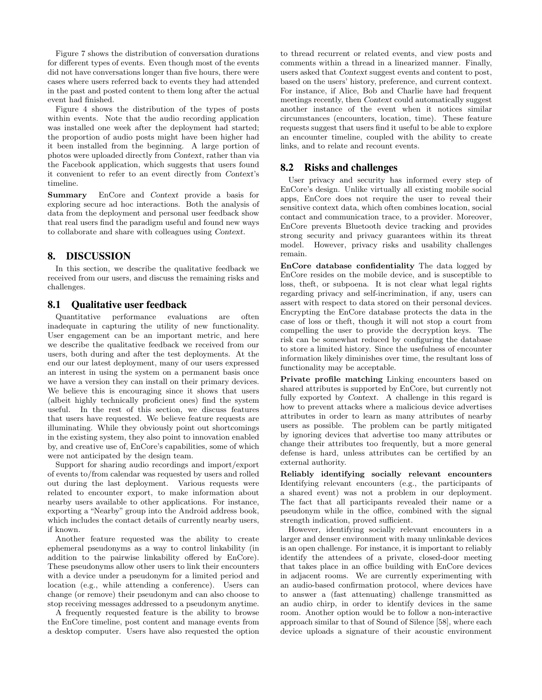Figure [7](#page-9-3) shows the distribution of conversation durations for different types of events. Even though most of the events did not have conversations longer than five hours, there were cases where users referred back to events they had attended in the past and posted content to them long after the actual event had finished.

Figure [4](#page-9-0) shows the distribution of the types of posts within events. Note that the audio recording application was installed one week after the deployment had started; the proportion of audio posts might have been higher had it been installed from the beginning. A large portion of photos were uploaded directly from Context, rather than via the Facebook application, which suggests that users found it convenient to refer to an event directly from Context's timeline.

Summary EnCore and Context provide a basis for exploring secure ad hoc interactions. Both the analysis of data from the deployment and personal user feedback show that real users find the paradigm useful and found new ways to collaborate and share with colleagues using Context.

## <span id="page-10-0"></span>8. DISCUSSION

In this section, we describe the qualitative feedback we received from our users, and discuss the remaining risks and challenges.

## <span id="page-10-1"></span>8.1 Qualitative user feedback

Quantitative performance evaluations are often inadequate in capturing the utility of new functionality. User engagement can be an important metric, and here we describe the qualitative feedback we received from our users, both during and after the test deployments. At the end our our latest deployment, many of our users expressed an interest in using the system on a permanent basis once we have a version they can install on their primary devices. We believe this is encouraging since it shows that users (albeit highly technically proficient ones) find the system useful. In the rest of this section, we discuss features that users have requested. We believe feature requests are illuminating. While they obviously point out shortcomings in the existing system, they also point to innovation enabled by, and creative use of, EnCore's capabilities, some of which were not anticipated by the design team.

Support for sharing audio recordings and import/export of events to/from calendar was requested by users and rolled out during the last deployment. Various requests were related to encounter export, to make information about nearby users available to other applications. For instance, exporting a "Nearby" group into the Android address book, which includes the contact details of currently nearby users, if known.

Another feature requested was the ability to create ephemeral pseudonyms as a way to control linkability (in addition to the pairwise linkability offered by EnCore). These pseudonyms allow other users to link their encounters with a device under a pseudonym for a limited period and location (e.g., while attending a conference). Users can change (or remove) their pseudonym and can also choose to stop receiving messages addressed to a pseudonym anytime.

A frequently requested feature is the ability to browse the EnCore timeline, post content and manage events from a desktop computer. Users have also requested the option

to thread recurrent or related events, and view posts and comments within a thread in a linearized manner. Finally, users asked that Context suggest events and content to post, based on the users' history, preference, and current context. For instance, if Alice, Bob and Charlie have had frequent meetings recently, then Context could automatically suggest another instance of the event when it notices similar circumstances (encounters, location, time). These feature requests suggest that users find it useful to be able to explore an encounter timeline, coupled with the ability to create links, and to relate and recount events.

#### 8.2 Risks and challenges

User privacy and security has informed every step of EnCore's design. Unlike virtually all existing mobile social apps, EnCore does not require the user to reveal their sensitive context data, which often combines location, social contact and communication trace, to a provider. Moreover, EnCore prevents Bluetooth device tracking and provides strong security and privacy guarantees within its threat model. However, privacy risks and usability challenges remain.

EnCore database confidentiality The data logged by EnCore resides on the mobile device, and is susceptible to loss, theft, or subpoena. It is not clear what legal rights regarding privacy and self-incrimination, if any, users can assert with respect to data stored on their personal devices. Encrypting the EnCore database protects the data in the case of loss or theft, though it will not stop a court from compelling the user to provide the decryption keys. The risk can be somewhat reduced by configuring the database to store a limited history. Since the usefulness of encounter information likely diminishes over time, the resultant loss of functionality may be acceptable.

Private profile matching Linking encounters based on shared attributes is supported by EnCore, but currently not fully exported by Context. A challenge in this regard is how to prevent attacks where a malicious device advertises attributes in order to learn as many attributes of nearby users as possible. The problem can be partly mitigated by ignoring devices that advertise too many attributes or change their attributes too frequently, but a more general defense is hard, unless attributes can be certified by an external authority.

Reliably identifying socially relevant encounters Identifying relevant encounters (e.g., the participants of a shared event) was not a problem in our deployment. The fact that all participants revealed their name or a pseudonym while in the office, combined with the signal strength indication, proved sufficient.

However, identifying socially relevant encounters in a larger and denser environment with many unlinkable devices is an open challenge. For instance, it is important to reliably identify the attendees of a private, closed-door meeting that takes place in an office building with EnCore devices in adjacent rooms. We are currently experimenting with an audio-based confirmation protocol, where devices have to answer a (fast attenuating) challenge transmitted as an audio chirp, in order to identify devices in the same room. Another option would be to follow a non-interactive approach similar to that of Sound of Silence [\[58\]](#page-13-9), where each device uploads a signature of their acoustic environment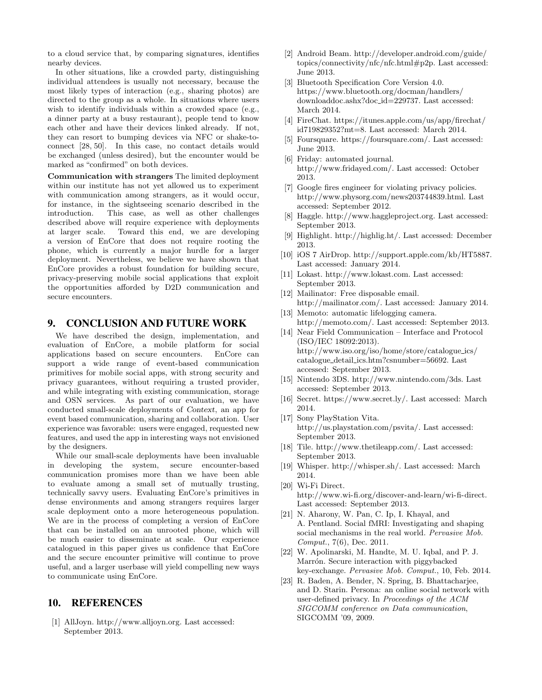to a cloud service that, by comparing signatures, identifies nearby devices.

In other situations, like a crowded party, distinguishing individual attendees is usually not necessary, because the most likely types of interaction (e.g., sharing photos) are directed to the group as a whole. In situations where users wish to identify individuals within a crowded space (e.g., a dinner party at a busy restaurant), people tend to know each other and have their devices linked already. If not, they can resort to bumping devices via NFC or shake-toconnect [\[28,](#page-12-25) [50\]](#page-13-10). In this case, no contact details would be exchanged (unless desired), but the encounter would be marked as "confirmed" on both devices.

Communication with strangers The limited deployment within our institute has not yet allowed us to experiment with communication among strangers, as it would occur, for instance, in the sightseeing scenario described in the introduction. This case, as well as other challenges described above will require experience with deployments at larger scale. Toward this end, we are developing a version of EnCore that does not require rooting the phone, which is currently a major hurdle for a larger deployment. Nevertheless, we believe we have shown that EnCore provides a robust foundation for building secure, privacy-preserving mobile social applications that exploit the opportunities afforded by D2D communication and secure encounters.

## <span id="page-11-9"></span>9. CONCLUSION AND FUTURE WORK

We have described the design, implementation, and evaluation of EnCore, a mobile platform for social applications based on secure encounters. EnCore can support a wide range of event-based communication primitives for mobile social apps, with strong security and privacy guarantees, without requiring a trusted provider, and while integrating with existing communication, storage and OSN services. As part of our evaluation, we have conducted small-scale deployments of Context, an app for event based communication, sharing and collaboration. User experience was favorable: users were engaged, requested new features, and used the app in interesting ways not envisioned by the designers.

While our small-scale deployments have been invaluable in developing the system, secure encounter-based communication promises more than we have been able to evaluate among a small set of mutually trusting, technically savvy users. Evaluating EnCore's primitives in dense environments and among strangers requires larger scale deployment onto a more heterogeneous population. We are in the process of completing a version of EnCore that can be installed on an unrooted phone, which will be much easier to disseminate at scale. Our experience catalogued in this paper gives us confidence that EnCore and the secure encounter primitive will continue to prove useful, and a larger userbase will yield compelling new ways to communicate using EnCore.

## 10. REFERENCES

<span id="page-11-8"></span>[1] AllJoyn. [http://www.alljoyn.org.](http://www.alljoyn.org) Last accessed: September 2013.

- <span id="page-11-14"></span>[2] Android Beam. [http://developer.android.com/guide/](http://developer.android.com/guide/topics/connectivity/nfc/nfc.html#p2p) [topics/connectivity/nfc/nfc.html#p2p.](http://developer.android.com/guide/topics/connectivity/nfc/nfc.html#p2p) Last accessed: June 2013.
- <span id="page-11-21"></span>[3] Bluetooth Specification Core Version 4.0. [https://www.bluetooth.org/docman/handlers/](https://www.bluetooth.org/docman/handlers/downloaddoc.ashx?doc_id=229737) [downloaddoc.ashx?doc](https://www.bluetooth.org/docman/handlers/downloaddoc.ashx?doc_id=229737) id=229737. Last accessed: March 2014.
- <span id="page-11-2"></span>[4] FireChat. [https://itunes.apple.com/us/app/firechat/](https://itunes.apple.com/us/app/firechat/id719829352?mt=8) [id719829352?mt=8.](https://itunes.apple.com/us/app/firechat/id719829352?mt=8) Last accessed: March 2014.
- <span id="page-11-0"></span>[5] Foursquare. [https://foursquare.com/.](https://foursquare.com/) Last accessed: June 2013.
- <span id="page-11-17"></span>[6] Friday: automated journal. [http://www.fridayed.com/.](http://www.fridayed.com/) Last accessed: October 2013.
- <span id="page-11-7"></span>[7] Google fires engineer for violating privacy policies. [http://www.physorg.com/news203744839.html.](http://www.physorg.com/news203744839.html) Last accessed: September 2012.
- <span id="page-11-11"></span>[8] Haggle. [http://www.haggleproject.org.](http://www.haggleproject.org) Last accessed: September 2013.
- <span id="page-11-1"></span>[9] Highlight. [http://highlig.ht/.](http://highlig.ht/) Last accessed: December 2013.
- <span id="page-11-13"></span>[10] iOS 7 AirDrop. [http://support.apple.com/kb/HT5887.](http://support.apple.com/kb/HT5887) Last accessed: January 2014.
- <span id="page-11-10"></span>[11] Lokast. [http://www.lokast.com.](http://www.lokast.com) Last accessed: September 2013.
- <span id="page-11-22"></span>[12] Mailinator: Free disposable email. [http://mailinator.com/.](http://mailinator.com/) Last accessed: January 2014.
- <span id="page-11-18"></span>[13] Memoto: automatic lifelogging camera. [http://memoto.com/.](http://memoto.com/) Last accessed: September 2013. [14] Near Field Communication – Interface and Protocol

<span id="page-11-15"></span>(ISO/IEC 18092:2013). [http://www.iso.org/iso/home/store/catalogue](http://www.iso.org/iso/home/store/catalogue_ics/catalogue_detail_ics.htm?csnumber=56692) ics/ catalogue detail [ics.htm?csnumber=56692.](http://www.iso.org/iso/home/store/catalogue_ics/catalogue_detail_ics.htm?csnumber=56692) Last accessed: September 2013.

- <span id="page-11-5"></span>[15] Nintendo 3DS. [http://www.nintendo.com/3ds.](http://www.nintendo.com/3ds) Last accessed: September 2013.
- <span id="page-11-3"></span>[16] Secret. [https://www.secret.ly/.](https://www.secret.ly/) Last accessed: March 2014.
- <span id="page-11-6"></span>[17] Sony PlayStation Vita. [http://us.playstation.com/psvita/.](http://us.playstation.com/psvita/) Last accessed: September 2013.
- <span id="page-11-12"></span>[18] Tile. [http://www.thetileapp.com/.](http://www.thetileapp.com/) Last accessed: September 2013.
- <span id="page-11-4"></span>[19] Whisper. [http://whisper.sh/.](http://whisper.sh/) Last accessed: March 2014.
- <span id="page-11-16"></span>[20] Wi-Fi Direct. [http://www.wi-fi.org/discover-and-learn/wi-fi-direct.](http://www.wi-fi.org/discover-and-learn/wi-fi-direct) Last accessed: September 2013.
- <span id="page-11-19"></span>[21] N. Aharony, W. Pan, C. Ip, I. Khayal, and A. Pentland. Social fMRI: Investigating and shaping social mechanisms in the real world. Pervasive Mob. Comput., 7(6), Dec. 2011.
- <span id="page-11-20"></span>[22] W. Apolinarski, M. Handte, M. U. Iqbal, and P. J. Marrón. Secure interaction with piggybacked key-exchange. Pervasive Mob. Comput., 10, Feb. 2014.
- <span id="page-11-23"></span>[23] R. Baden, A. Bender, N. Spring, B. Bhattacharjee, and D. Starin. Persona: an online social network with user-defined privacy. In Proceedings of the ACM SIGCOMM conference on Data communication, SIGCOMM '09, 2009.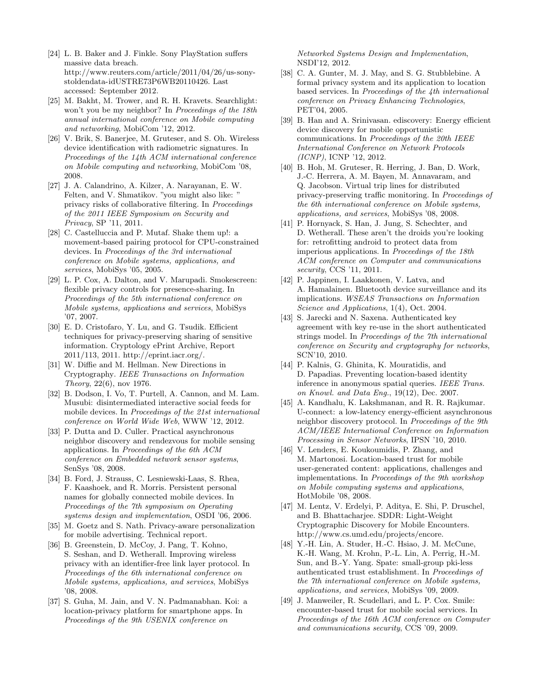- <span id="page-12-2"></span>[24] L. B. Baker and J. Finkle. Sony PlayStation suffers massive data breach. [http://www.reuters.com/article/2011/04/26/us-sony](http://www.reuters.com/article/2011/04/26/us-sony-stoldendata-idUSTRE73P6WB20110426)[stoldendata-idUSTRE73P6WB20110426.](http://www.reuters.com/article/2011/04/26/us-sony-stoldendata-idUSTRE73P6WB20110426) Last accessed: September 2012.
- <span id="page-12-15"></span>[25] M. Bakht, M. Trower, and R. H. Kravets. Searchlight: won't you be my neighbor? In Proceedings of the 18th annual international conference on Mobile computing and networking, MobiCom '12, 2012.
- <span id="page-12-21"></span>[26] V. Brik, S. Banerjee, M. Gruteser, and S. Oh. Wireless device identification with radiometric signatures. In Proceedings of the 14th ACM international conference on Mobile computing and networking, MobiCom '08, 2008.
- <span id="page-12-3"></span>[27] J. A. Calandrino, A. Kilzer, A. Narayanan, E. W. Felten, and V. Shmatikov. "you might also like: " privacy risks of collaborative filtering. In Proceedings of the 2011 IEEE Symposium on Security and Privacy, SP '11, 2011.
- <span id="page-12-25"></span>[28] C. Castelluccia and P. Mutaf. Shake them up!: a movement-based pairing protocol for CPU-constrained devices. In Proceedings of the 3rd international conference on Mobile systems, applications, and services, MobiSys '05, 2005.
- <span id="page-12-0"></span>[29] L. P. Cox, A. Dalton, and V. Marupadi. Smokescreen: flexible privacy controls for presence-sharing. In Proceedings of the 5th international conference on Mobile systems, applications and services, MobiSys '07, 2007.
- <span id="page-12-23"></span>[30] E. D. Cristofaro, Y. Lu, and G. Tsudik. Efficient techniques for privacy-preserving sharing of sensitive information. Cryptology ePrint Archive, Report 2011/113, 2011. [http://eprint.iacr.org/.](http://eprint.iacr.org/)
- <span id="page-12-22"></span>[31] W. Diffie and M. Hellman. New Directions in Cryptography. IEEE Transactions on Information Theory, 22(6), nov 1976.
- <span id="page-12-5"></span>[32] B. Dodson, I. Vo, T. Purtell, A. Cannon, and M. Lam. Musubi: disintermediated interactive social feeds for mobile devices. In Proceedings of the 21st international conference on World Wide Web, WWW '12, 2012.
- <span id="page-12-16"></span>[33] P. Dutta and D. Culler. Practical asynchronous neighbor discovery and rendezvous for mobile sensing applications. In Proceedings of the 6th ACM conference on Embedded network sensor systems, SenSys '08, 2008.
- <span id="page-12-20"></span>[34] B. Ford, J. Strauss, C. Lesniewski-Laas, S. Rhea, F. Kaashoek, and R. Morris. Persistent personal names for globally connected mobile devices. In Proceedings of the 7th symposium on Operating systems design and implementation, OSDI '06, 2006.
- <span id="page-12-9"></span>[35] M. Goetz and S. Nath. Privacy-aware personalization for mobile advertising. Technical report.
- <span id="page-12-8"></span>[36] B. Greenstein, D. McCoy, J. Pang, T. Kohno, S. Seshan, and D. Wetherall. Improving wireless privacy with an identifier-free link layer protocol. In Proceedings of the 6th international conference on Mobile systems, applications, and services, MobiSys '08, 2008.
- <span id="page-12-10"></span>[37] S. Guha, M. Jain, and V. N. Padmanabhan. Koi: a location-privacy platform for smartphone apps. In Proceedings of the 9th USENIX conference on

Networked Systems Design and Implementation, NSDI'12, 2012.

- <span id="page-12-11"></span>[38] C. A. Gunter, M. J. May, and S. G. Stubblebine. A formal privacy system and its application to location based services. In Proceedings of the 4th international conference on Privacy Enhancing Technologies, PET'04, 2005.
- <span id="page-12-17"></span>[39] B. Han and A. Srinivasan. ediscovery: Energy efficient device discovery for mobile opportunistic communications. In Proceedings of the 20th IEEE International Conference on Network Protocols (ICNP), ICNP '12, 2012.
- <span id="page-12-14"></span>[40] B. Hoh, M. Gruteser, R. Herring, J. Ban, D. Work, J.-C. Herrera, A. M. Bayen, M. Annavaram, and Q. Jacobson. Virtual trip lines for distributed privacy-preserving traffic monitoring. In Proceedings of the 6th international conference on Mobile systems, applications, and services, MobiSys '08, 2008.
- <span id="page-12-12"></span>[41] P. Hornyack, S. Han, J. Jung, S. Schechter, and D. Wetherall. These aren't the droids you're looking for: retrofitting android to protect data from imperious applications. In Proceedings of the 18th ACM conference on Computer and communications security, CCS '11, 2011.
- <span id="page-12-6"></span>[42] P. Jappinen, I. Laakkonen, V. Latva, and A. Hamalainen. Bluetooth device surveillance and its implications. WSEAS Transactions on Information Science and Applications, 1(4), Oct. 2004.
- <span id="page-12-24"></span>[43] S. Jarecki and N. Saxena. Authenticated key agreement with key re-use in the short authenticated strings model. In Proceedings of the 7th international conference on Security and cryptography for networks, SCN'10, 2010.
- <span id="page-12-13"></span>[44] P. Kalnis, G. Ghinita, K. Mouratidis, and D. Papadias. Preventing location-based identity inference in anonymous spatial queries. IEEE Trans. on Knowl. and Data Eng., 19(12), Dec. 2007.
- <span id="page-12-18"></span>[45] A. Kandhalu, K. Lakshmanan, and R. R. Rajkumar. U-connect: a low-latency energy-efficient asynchronous neighbor discovery protocol. In Proceedings of the 9th ACM/IEEE International Conference on Information Processing in Sensor Networks, IPSN '10, 2010.
- <span id="page-12-19"></span>[46] V. Lenders, E. Koukoumidis, P. Zhang, and M. Martonosi. Location-based trust for mobile user-generated content: applications, challenges and implementations. In Proceedings of the 9th workshop on Mobile computing systems and applications, HotMobile '08, 2008.
- <span id="page-12-4"></span>[47] M. Lentz, V. Erdelyi, P. Aditya, E. Shi, P. Druschel, and B. Bhattacharjee. SDDR: Light-Weight Cryptographic Discovery for Mobile Encounters. [http://www.cs.umd.edu/projects/encore.](http://www.cs.umd.edu/projects/encore)
- <span id="page-12-7"></span>[48] Y.-H. Lin, A. Studer, H.-C. Hsiao, J. M. McCune, K.-H. Wang, M. Krohn, P.-L. Lin, A. Perrig, H.-M. Sun, and B.-Y. Yang. Spate: small-group pki-less authenticated trust establishment. In Proceedings of the 7th international conference on Mobile systems, applications, and services, MobiSys '09, 2009.
- <span id="page-12-1"></span>[49] J. Manweiler, R. Scudellari, and L. P. Cox. Smile: encounter-based trust for mobile social services. In Proceedings of the 16th ACM conference on Computer and communications security, CCS '09, 2009.